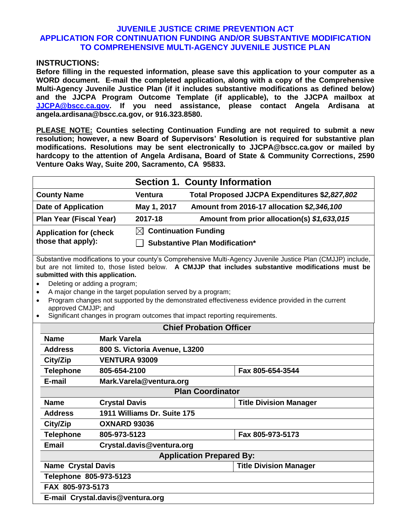## **JUVENILE JUSTICE CRIME PREVENTION ACT APPLICATION FOR CONTINUATION FUNDING AND/OR SUBSTANTIVE MODIFICATION TO COMPREHENSIVE MULTI-AGENCY JUVENILE JUSTICE PLAN**

## **INSTRUCTIONS:**

**Before filling in the requested information, please save this application to your computer as a WORD document. E-mail the completed application, along with a copy of the Comprehensive Multi-Agency Juvenile Justice Plan (if it includes substantive modifications as defined below) and the JJCPA Program Outcome Template (if applicable), to the JJCPA mailbox at [JJCPA@bscc.ca.gov.](mailto:JJCPA@bscc.ca.gov) If you need assistance, please contact Angela Ardisana at angela.ardisana@bscc.ca.gov, or 916.323.8580.**

**PLEASE NOTE: Counties selecting Continuation Funding are not required to submit a new resolution; however, a new Board of Supervisors' Resolution is required for substantive plan modifications. Resolutions may be sent electronically to JJCPA@bscc.ca.gov or mailed by hardcopy to the attention of Angela Ardisana, Board of State & Community Corrections, 2590 Venture Oaks Way, Suite 200, Sacramento, CA 95833.**

|                               | <b>Section 1. County Information</b>  |                                               |  |
|-------------------------------|---------------------------------------|-----------------------------------------------|--|
| <b>County Name</b>            | <b>Ventura</b>                        | Total Proposed JJCPA Expenditures \$2,827,802 |  |
| <b>Date of Application</b>    | May 1, 2017                           | Amount from 2016-17 allocation \$2,346,100    |  |
| Plan Year (Fiscal Year)       | 2017-18                               | Amount from prior allocation(s) \$1,633,015   |  |
| <b>Application for (check</b> | $\boxtimes$ Continuation Funding      |                                               |  |
| those that apply):            | <b>Substantive Plan Modification*</b> |                                               |  |
|                               |                                       |                                               |  |

Substantive modifications to your county's Comprehensive Multi-Agency Juvenile Justice Plan (CMJJP) include, but are not limited to, those listed below. **A CMJJP that includes substantive modifications must be submitted with this application.**

- Deleting or adding a program;
- A major change in the target population served by a program;
- Program changes not supported by the demonstrated effectiveness evidence provided in the current approved CMJJP; and
- Significant changes in program outcomes that impact reporting requirements.

|                                  | <b>Chief Probation Officer</b>  |                               |  |
|----------------------------------|---------------------------------|-------------------------------|--|
| <b>Name</b>                      | Mark Varela                     |                               |  |
| <b>Address</b>                   | 800 S. Victoria Avenue, L3200   |                               |  |
| City/Zip                         | <b>VENTURA 93009</b>            |                               |  |
| <b>Telephone</b>                 | 805-654-2100                    | Fax 805-654-3544              |  |
| E-mail                           | Mark.Varela@ventura.org         |                               |  |
|                                  | <b>Plan Coordinator</b>         |                               |  |
| <b>Name</b>                      | <b>Crystal Davis</b>            | <b>Title Division Manager</b> |  |
| <b>Address</b>                   | 1911 Williams Dr. Suite 175     |                               |  |
| City/Zip                         | OXNARD 93036                    |                               |  |
| <b>Telephone</b>                 | 805-973-5123                    | Fax 805-973-5173              |  |
| <b>Email</b>                     | Crystal.davis@ventura.org       |                               |  |
|                                  | <b>Application Prepared By:</b> |                               |  |
| <b>Name Crystal Davis</b>        |                                 | <b>Title Division Manager</b> |  |
| Telephone 805-973-5123           |                                 |                               |  |
| FAX 805-973-5173                 |                                 |                               |  |
| E-mail Crystal.davis@ventura.org |                                 |                               |  |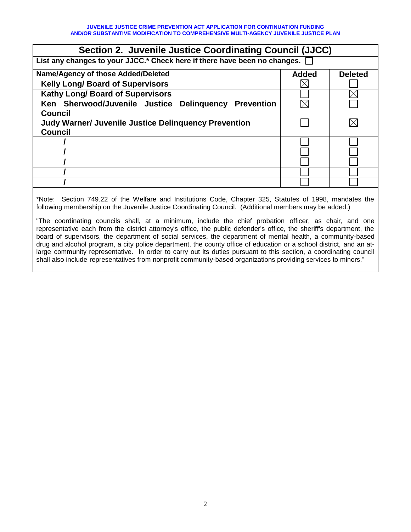**JUVENILE JUSTICE CRIME PREVENTION ACT APPLICATION FOR CONTINUATION FUNDING AND/OR SUBSTANTIVE MODIFICATION TO COMPREHENSIVE MULTI-AGENCY JUVENILE JUSTICE PLAN**

| Section 2. Juvenile Justice Coordinating Council (JJCC)                   |              |                |  |  |  |
|---------------------------------------------------------------------------|--------------|----------------|--|--|--|
| List any changes to your JJCC.* Check here if there have been no changes. |              |                |  |  |  |
| Name/Agency of those Added/Deleted                                        | <b>Added</b> | <b>Deleted</b> |  |  |  |
| <b>Kelly Long/ Board of Supervisors</b>                                   |              |                |  |  |  |
| <b>Kathy Long/ Board of Supervisors</b>                                   |              |                |  |  |  |
| Ken Sherwood/Juvenile Justice Delinquency<br><b>Prevention</b>            |              |                |  |  |  |
| <b>Council</b>                                                            |              |                |  |  |  |
| <b>Judy Warner/ Juvenile Justice Delinguency Prevention</b>               |              |                |  |  |  |
| <b>Council</b>                                                            |              |                |  |  |  |
|                                                                           |              |                |  |  |  |
|                                                                           |              |                |  |  |  |
|                                                                           |              |                |  |  |  |
|                                                                           |              |                |  |  |  |
|                                                                           |              |                |  |  |  |
|                                                                           |              |                |  |  |  |

\*Note: Section 749.22 of the Welfare and Institutions Code, Chapter 325, Statutes of 1998, mandates the following membership on the Juvenile Justice Coordinating Council. (Additional members may be added.)

"The coordinating councils shall, at a minimum, include the chief probation officer, as chair, and one representative each from the district attorney's office, the public defender's office, the sheriff's department, the board of supervisors, the department of social services, the department of mental health, a community-based drug and alcohol program, a city police department, the county office of education or a school district, and an atlarge community representative. In order to carry out its duties pursuant to this section, a coordinating council shall also include representatives from nonprofit community-based organizations providing services to minors."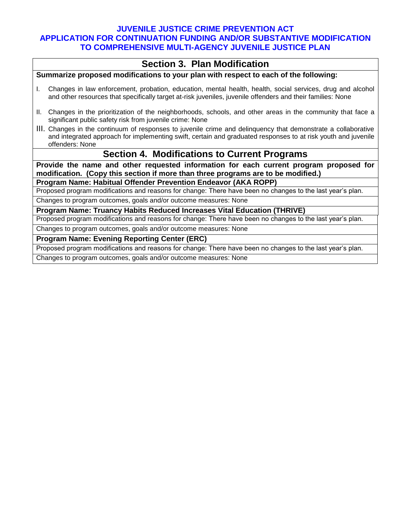## **JUVENILE JUSTICE CRIME PREVENTION ACT APPLICATION FOR CONTINUATION FUNDING AND/OR SUBSTANTIVE MODIFICATION TO COMPREHENSIVE MULTI-AGENCY JUVENILE JUSTICE PLAN**

|                                                                                                                                                                             | <b>Section 3. Plan Modification</b>                                                                                                                                                                                                               |  |  |  |
|-----------------------------------------------------------------------------------------------------------------------------------------------------------------------------|---------------------------------------------------------------------------------------------------------------------------------------------------------------------------------------------------------------------------------------------------|--|--|--|
| Summarize proposed modifications to your plan with respect to each of the following:                                                                                        |                                                                                                                                                                                                                                                   |  |  |  |
| L.                                                                                                                                                                          | Changes in law enforcement, probation, education, mental health, health, social services, drug and alcohol<br>and other resources that specifically target at-risk juveniles, juvenile offenders and their families: None                         |  |  |  |
|                                                                                                                                                                             | II. Changes in the prioritization of the neighborhoods, schools, and other areas in the community that face a<br>significant public safety risk from juvenile crime: None                                                                         |  |  |  |
|                                                                                                                                                                             | III. Changes in the continuum of responses to juvenile crime and delinguency that demonstrate a collaborative<br>and integrated approach for implementing swift, certain and graduated responses to at risk youth and juvenile<br>offenders: None |  |  |  |
|                                                                                                                                                                             | <b>Section 4. Modifications to Current Programs</b>                                                                                                                                                                                               |  |  |  |
| Provide the name and other requested information for each current program proposed for<br>modification. (Copy this section if more than three programs are to be modified.) |                                                                                                                                                                                                                                                   |  |  |  |
|                                                                                                                                                                             | Program Name: Habitual Offender Prevention Endeavor (AKA ROPP)                                                                                                                                                                                    |  |  |  |
|                                                                                                                                                                             | Proposed program modifications and reasons for change: There have been no changes to the last year's plan.                                                                                                                                        |  |  |  |
|                                                                                                                                                                             | Changes to program outcomes, goals and/or outcome measures: None                                                                                                                                                                                  |  |  |  |
|                                                                                                                                                                             | Program Name: Truancy Habits Reduced Increases Vital Education (THRIVE)                                                                                                                                                                           |  |  |  |
|                                                                                                                                                                             | Proposed program modifications and reasons for change: There have been no changes to the last year's plan.                                                                                                                                        |  |  |  |
|                                                                                                                                                                             | Changes to program outcomes, goals and/or outcome measures: None                                                                                                                                                                                  |  |  |  |
|                                                                                                                                                                             | <b>Program Name: Evening Reporting Center (ERC)</b>                                                                                                                                                                                               |  |  |  |
|                                                                                                                                                                             | Proposed program modifications and reasons for change: There have been no changes to the last year's plan.                                                                                                                                        |  |  |  |
|                                                                                                                                                                             | Changes to program outcomes, goals and/or outcome measures: None                                                                                                                                                                                  |  |  |  |
|                                                                                                                                                                             |                                                                                                                                                                                                                                                   |  |  |  |